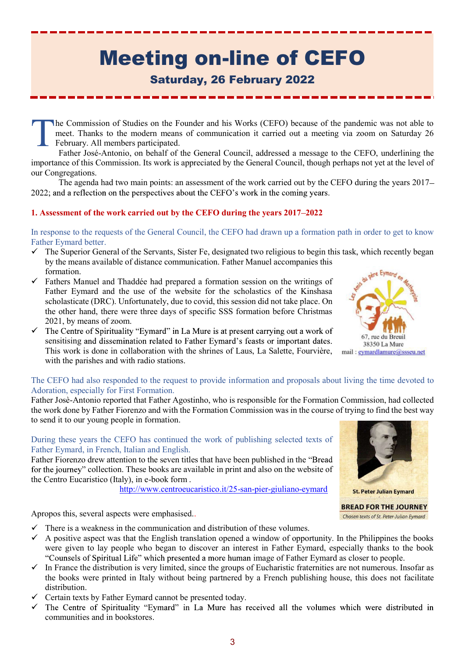# Meeting on-line of CEFO

# Saturday, 26 February 2022

he Commission of Studies on the Founder and his Works (CEFO) because of the pandemic was not able to meet. Thanks to the modern means of communication it carried out a meeting via zoom on Saturday 26 February. All members participated. T

Father José-Antonio, on behalf of the General Council, addressed a message to the CEFO, underlining the importance of this Commission. Its work is appreciated by the General Council, though perhaps not yet at the level of our Congregations.

The agenda had two main points: an assessment of the work carried out by the CEFO during the years 2017 2022; and a reflection on the perspectives about the CEFO's work in the coming years.

## 1. Assessment of the work carried out by the CEFO during the years 2017 2022

In response to the requests of the General Council, the CEFO had drawn up a formation path in order to get to know Father Eymard better.

- $\checkmark$  The Superior General of the Servants, Sister Fe, designated two religious to begin this task, which recently began by the means available of distance communication. Father Manuel accompanies this formation.<br>Fathers Manuel and The 11/2 Links formation.
- $\checkmark$  Fathers Manuel and Thaddée had prepared a formation session on the writings of Father Eymard and the use of the website for the scholastics of the Kinshasa scholasticate (DRC). Unfortunately, due to covid, this session did not take place. On the other hand, there were three days of specific SSS formation before Christmas 2021, by means of zoom.
- $\checkmark$  The Centre of Spirituality "Evmard" in La Mure is at present carrying out a work of sensitising and dissemination related to Father Eymard's feasts or important dates. sensitising and dissemination related to rather Eymard s leasts or important dates.<br>This work is done in collaboration with the shrines of Laus, La Salette, Fourvière, mail: <u>eymardlamure@ssseu.net</u> with the parishes and with radio stations.



#### The CEFO had also responded to the request to provide information and proposals about living the time devoted to Adoration, especially for First Formation.

Father Josè-Antonio reported that Father Agostinho, who is responsible for the Formation Commission, had collected the work done by Father Fiorenzo and with the Formation Commission was in the course of trying to find the best way to send it to our young people in formation.

#### During these years the CEFO has continued the work of publishing selected texts of Father Eymard, in French, Italian and English.

Father Fiorenzo drew attention to the seven titles that have been published in the for the journey" collection. These books are available in print and also on the website of the Centro Eucaristico (Italy), in e-book form .<br>http://www.centroeucaristico.it/25-san-pier-giuliano-eymard st. Peter Julian Eymard



**BREAD FOR THE JOURNEY** Chosen texts of St. Peter-Julian Eymard

Apropos this, several aspects were emphasised..

- $\checkmark$  There is a weakness in the communication and distribution of these volumes.
- $\checkmark$  A positive aspect was that the English translation opened a window of opportunity. In the Philippines the books were given to lay people who began to discover an interest in Father Eymard, especially thanks to the book "Counsels of Spiritual Life" which presented a more human image of Father Eymard as closer to people.
- In France the distribution is very limited, since the groups of Eucharistic fraternities are not numerous. Insofar as the books were printed in Italy without being partnered by a French publishing house, this does not facilitate distribution.
- $\checkmark$  Certain texts by Father Eymard cannot be presented today.
- $\checkmark$  The Centre of Spirituality "Eymard" in La Mure has received all the volumes which were distributed in communities and in bookstores.